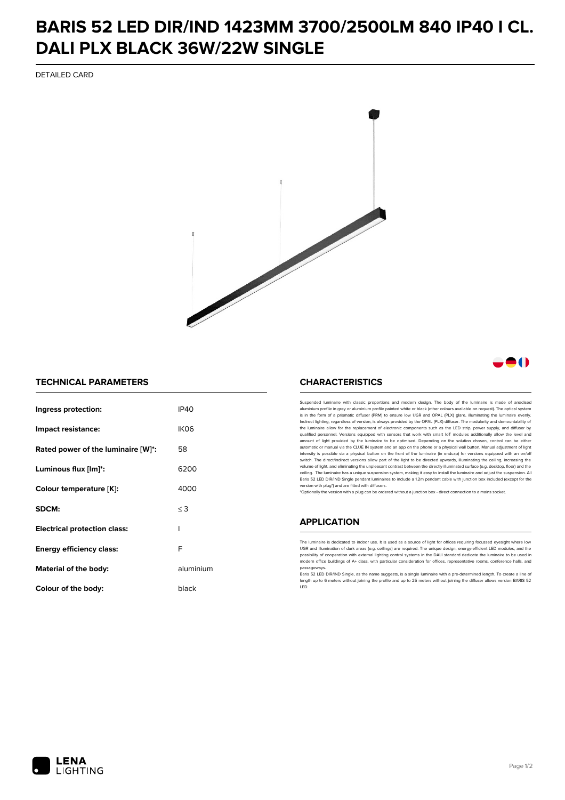## **BARIS 52 LED DIR/IND 1423MM 3700/2500LM 840 IP40 I CL. DALI PLX BLACK 36W/22W SINGLE**

DETAILED CARD



### -0

#### **TECHNICAL PARAMETERS**

| Ingress protection:                 | IP40      |
|-------------------------------------|-----------|
| Impact resistance:                  | IKO6      |
| Rated power of the luminaire [W]*:  | 58        |
| Luminous flux [lm]*:                | 6200      |
| Colour temperature [K]:             | 4000      |
| SDCM:                               | $\leq$ 3  |
| <b>Electrical protection class:</b> | ı         |
| Energy efficiency class:            | F         |
| Material of the body:               | aluminium |
| Colour of the body:                 | black     |

#### **CHARACTERISTICS**

Suspended luminaire with classic proportions and modern design. The body of the luminaire is made of an aluminium profile in grey or aluminium profile painted white or black (other colours available on request). The optical system is in the form of a prismatic diffuser (PRM) to ensure low UGR and OPAL (PLX) glare, illuminating the luminaire evenly.<br>Indirect lighting, regardless of version, is always provided by the OPAL (PLX) diffuser. The modularit the luminaire allow for the replacement of electronic components such as the LED strip, power supply, and diffuser by qualified personnel. Versions equipped with sensors that work with smart IoT modules additionally allow the level and amount of light provided by the luminaire to be optimised. Depending on the solution chosen, control can be either automatic or manual via the CLUE IN system and an app on the phone or a physical wall button. Manual adjustment of light<br>intensity is possible via a physical button on the front of the luminaire (in endcap) for versions eq switch. The direct/indirect versions allow part of the light to be directed upwards, illuminating the ceiling, increasing the volume of light, and eliminating the unpleasant contrast between the directly illuminated surface (e.g. desktop, floor) and the ceiling. The luminaire has a unique suspension system, making it easy to install the luminaire and adjust the suspension. All Baris 52 LED DIR/IND Single pendant Iuminaires to include a 1.2m pendant cable with junction box included (except for the<br>version with plug\*) and are fitted with diffusers.

\*Optionally the version with a plug can be ordered without a junction box - direct connection to a mains socket.

#### **APPLICATION**

The luminaire is dedicated to indoor use. It is used as a source of light for offices requiring focussed eyesight where low UGR and illumination of dark areas (e.g. ceilings) are required. The unique design, energy-efficient LED modules, and the<br>possibility of cooperation with external lighting control systems in the DALI standard dedicate the modern office buildings of A+ class, with particular consideration for offices, representative rooms, conference halls, and passage

.<br>Baris 52 LED DIR/IND Single, as the name suggests, is a single luminaire with a pre-determined length. To create a line of length up to 6 meters without joining the profile and up to 25 meters without joining the diffuser allows version BARIS 52 LED.